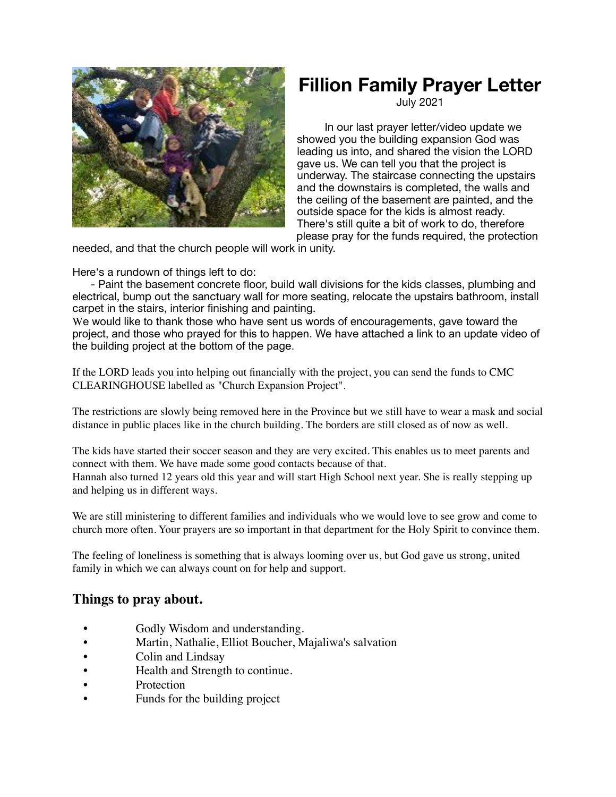

## **Fillion Family Prayer Letter**

July 2021

In our last prayer letter/video update we showed you the building expansion God was leading us into, and shared the vision the LORD gave us. We can tell you that the project is underway. The staircase connecting the upstairs and the downstairs is completed, the walls and the ceiling of the basement are painted, and the outside space for the kids is almost ready. There's still quite a bit of work to do, therefore please pray for the funds required, the protection

needed, and that the church people will work in unity.

Here's a rundown of things left to do:

 - Paint the basement concrete floor, build wall divisions for the kids classes, plumbing and electrical, bump out the sanctuary wall for more seating, relocate the upstairs bathroom, install carpet in the stairs, interior finishing and painting.

We would like to thank those who have sent us words of encouragements, gave toward the project, and those who prayed for this to happen. We have attached a link to an update video of the building project at the bottom of the page.

If the LORD leads you into helping out financially with the project, you can send the funds to CMC CLEARINGHOUSE labelled as "Church Expansion Project".

The restrictions are slowly being removed here in the Province but we still have to wear a mask and social distance in public places like in the church building. The borders are still closed as of now as well.

The kids have started their soccer season and they are very excited. This enables us to meet parents and connect with them. We have made some good contacts because of that.

Hannah also turned 12 years old this year and will start High School next year. She is really stepping up and helping us in different ways.

We are still ministering to different families and individuals who we would love to see grow and come to church more often. Your prayers are so important in that department for the Holy Spirit to convince them.

The feeling of loneliness is something that is always looming over us, but God gave us strong, united family in which we can always count on for help and support.

## **Things to pray about.**

- Godly Wisdom and understanding.
- Martin, Nathalie, Elliot Boucher, Majaliwa's salvation
- Colin and Lindsay
- Health and Strength to continue.
- **Protection**
- Funds for the building project